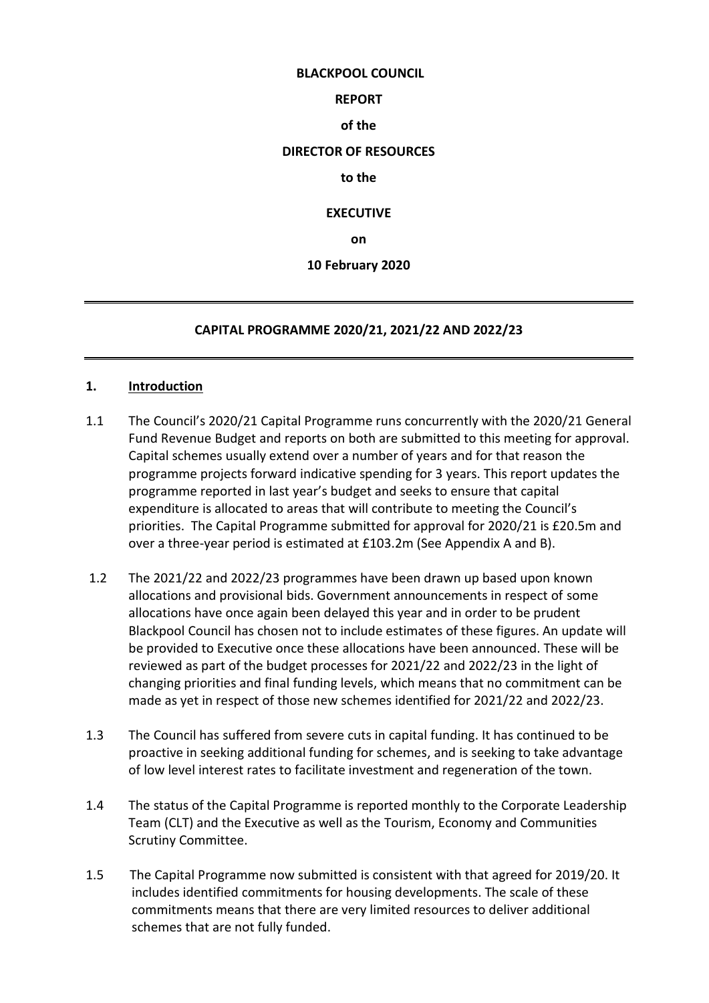#### **BLACKPOOL COUNCIL**

#### **REPORT**

#### **of the**

# **DIRECTOR OF RESOURCES**

#### **to the**

#### **EXECUTIVE**

**on**

#### **10 February 2020**

#### **CAPITAL PROGRAMME 2020/21, 2021/22 AND 2022/23**

#### **1. Introduction**

- 1.1 The Council's 2020/21 Capital Programme runs concurrently with the 2020/21 General Fund Revenue Budget and reports on both are submitted to this meeting for approval. Capital schemes usually extend over a number of years and for that reason the programme projects forward indicative spending for 3 years. This report updates the programme reported in last year's budget and seeks to ensure that capital expenditure is allocated to areas that will contribute to meeting the Council's priorities. The Capital Programme submitted for approval for 2020/21 is £20.5m and over a three-year period is estimated at £103.2m (See Appendix A and B).
- 1.2 The 2021/22 and 2022/23 programmes have been drawn up based upon known allocations and provisional bids. Government announcements in respect of some allocations have once again been delayed this year and in order to be prudent Blackpool Council has chosen not to include estimates of these figures. An update will be provided to Executive once these allocations have been announced. These will be reviewed as part of the budget processes for 2021/22 and 2022/23 in the light of changing priorities and final funding levels, which means that no commitment can be made as yet in respect of those new schemes identified for 2021/22 and 2022/23.
- 1.3 The Council has suffered from severe cuts in capital funding. It has continued to be proactive in seeking additional funding for schemes, and is seeking to take advantage of low level interest rates to facilitate investment and regeneration of the town.
- 1.4 The status of the Capital Programme is reported monthly to the Corporate Leadership Team (CLT) and the Executive as well as the Tourism, Economy and Communities Scrutiny Committee.
- 1.5 The Capital Programme now submitted is consistent with that agreed for 2019/20. It includes identified commitments for housing developments. The scale of these commitments means that there are very limited resources to deliver additional schemes that are not fully funded.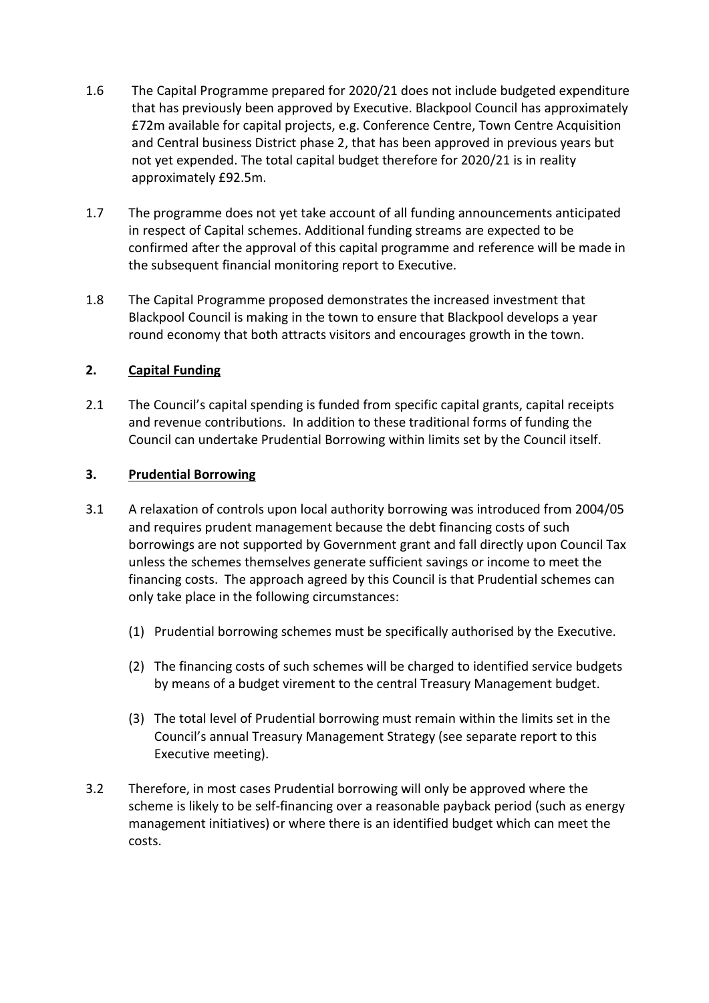- 1.6 The Capital Programme prepared for 2020/21 does not include budgeted expenditure that has previously been approved by Executive. Blackpool Council has approximately £72m available for capital projects, e.g. Conference Centre, Town Centre Acquisition and Central business District phase 2, that has been approved in previous years but not yet expended. The total capital budget therefore for 2020/21 is in reality approximately £92.5m.
- 1.7 The programme does not yet take account of all funding announcements anticipated in respect of Capital schemes. Additional funding streams are expected to be confirmed after the approval of this capital programme and reference will be made in the subsequent financial monitoring report to Executive.
- 1.8 The Capital Programme proposed demonstrates the increased investment that Blackpool Council is making in the town to ensure that Blackpool develops a year round economy that both attracts visitors and encourages growth in the town.

# **2. Capital Funding**

2.1 The Council's capital spending is funded from specific capital grants, capital receipts and revenue contributions. In addition to these traditional forms of funding the Council can undertake Prudential Borrowing within limits set by the Council itself.

# **3. Prudential Borrowing**

- 3.1 A relaxation of controls upon local authority borrowing was introduced from 2004/05 and requires prudent management because the debt financing costs of such borrowings are not supported by Government grant and fall directly upon Council Tax unless the schemes themselves generate sufficient savings or income to meet the financing costs. The approach agreed by this Council is that Prudential schemes can only take place in the following circumstances:
	- (1) Prudential borrowing schemes must be specifically authorised by the Executive.
	- (2) The financing costs of such schemes will be charged to identified service budgets by means of a budget virement to the central Treasury Management budget.
	- (3) The total level of Prudential borrowing must remain within the limits set in the Council's annual Treasury Management Strategy (see separate report to this Executive meeting).
- 3.2 Therefore, in most cases Prudential borrowing will only be approved where the scheme is likely to be self-financing over a reasonable payback period (such as energy management initiatives) or where there is an identified budget which can meet the costs.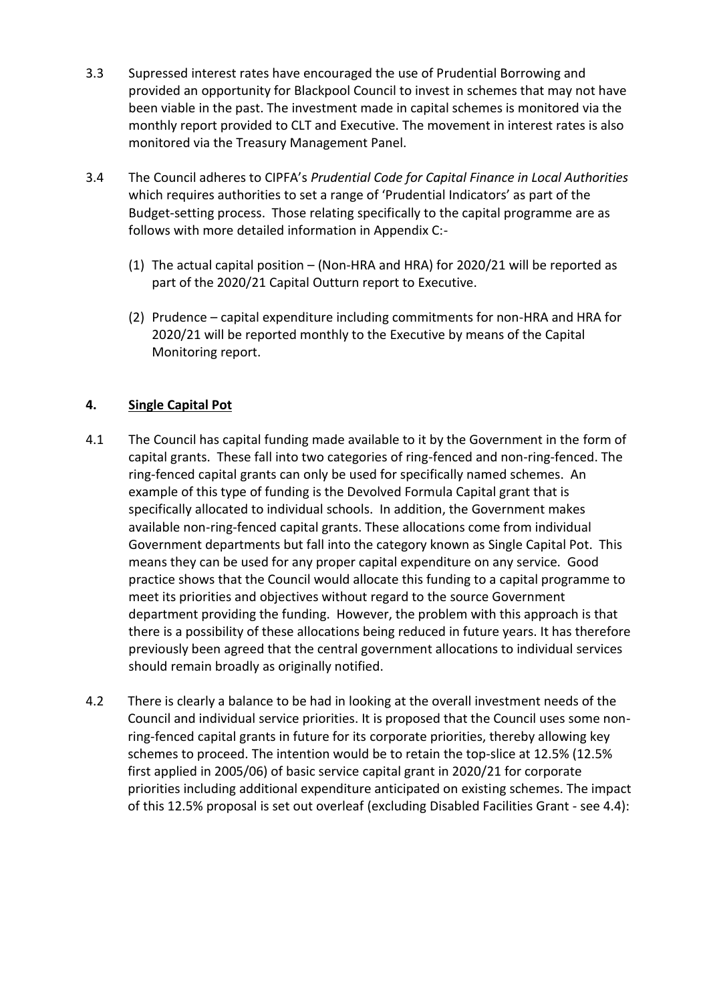- 3.3 Supressed interest rates have encouraged the use of Prudential Borrowing and provided an opportunity for Blackpool Council to invest in schemes that may not have been viable in the past. The investment made in capital schemes is monitored via the monthly report provided to CLT and Executive. The movement in interest rates is also monitored via the Treasury Management Panel.
- 3.4 The Council adheres to CIPFA's *Prudential Code for Capital Finance in Local Authorities* which requires authorities to set a range of 'Prudential Indicators' as part of the Budget-setting process. Those relating specifically to the capital programme are as follows with more detailed information in Appendix C:-
	- (1) The actual capital position (Non-HRA and HRA) for 2020/21 will be reported as part of the 2020/21 Capital Outturn report to Executive.
	- (2) Prudence capital expenditure including commitments for non-HRA and HRA for 2020/21 will be reported monthly to the Executive by means of the Capital Monitoring report.

# **4. Single Capital Pot**

- 4.1 The Council has capital funding made available to it by the Government in the form of capital grants. These fall into two categories of ring-fenced and non-ring-fenced. The ring-fenced capital grants can only be used for specifically named schemes. An example of this type of funding is the Devolved Formula Capital grant that is specifically allocated to individual schools. In addition, the Government makes available non-ring-fenced capital grants. These allocations come from individual Government departments but fall into the category known as Single Capital Pot. This means they can be used for any proper capital expenditure on any service. Good practice shows that the Council would allocate this funding to a capital programme to meet its priorities and objectives without regard to the source Government department providing the funding. However, the problem with this approach is that there is a possibility of these allocations being reduced in future years. It has therefore previously been agreed that the central government allocations to individual services should remain broadly as originally notified.
- 4.2 There is clearly a balance to be had in looking at the overall investment needs of the Council and individual service priorities. It is proposed that the Council uses some nonring-fenced capital grants in future for its corporate priorities, thereby allowing key schemes to proceed. The intention would be to retain the top-slice at 12.5% (12.5% first applied in 2005/06) of basic service capital grant in 2020/21 for corporate priorities including additional expenditure anticipated on existing schemes. The impact of this 12.5% proposal is set out overleaf (excluding Disabled Facilities Grant - see 4.4):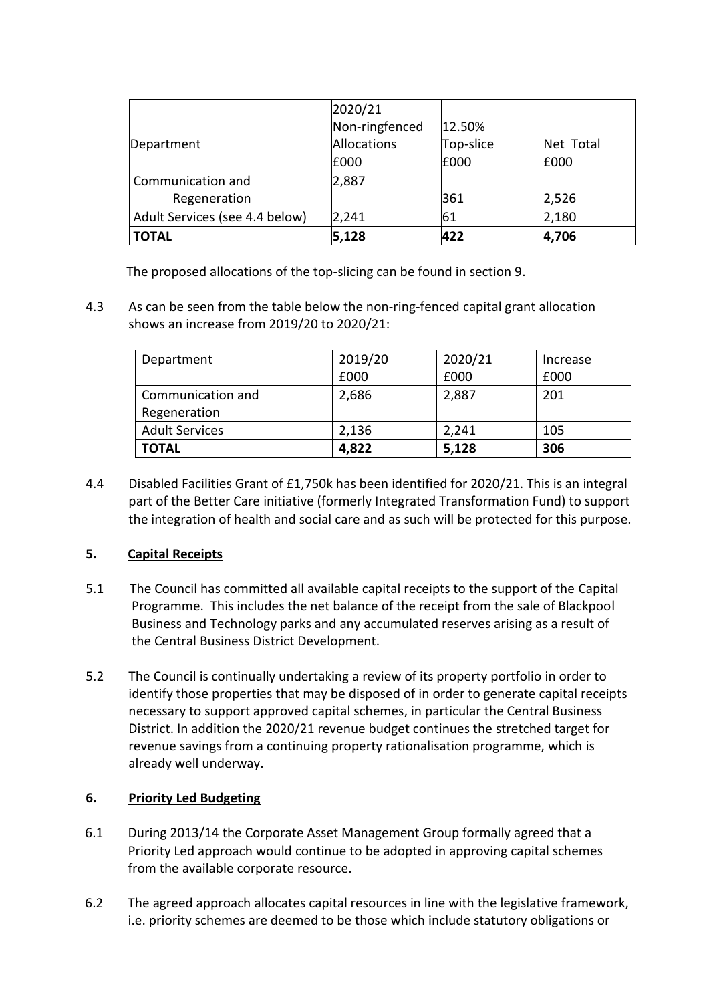|                                | 2020/21        |           |           |
|--------------------------------|----------------|-----------|-----------|
|                                | Non-ringfenced | 12.50%    |           |
| Department                     | Allocations    | Top-slice | Net Total |
|                                | £000           | £000      | £000      |
| Communication and              | 2,887          |           |           |
| Regeneration                   |                | 361       | 2,526     |
| Adult Services (see 4.4 below) | 2,241          | 61        | 2,180     |
| <b>TOTAL</b>                   | 5,128          | 422       | 4,706     |

The proposed allocations of the top-slicing can be found in section 9.

4.3 As can be seen from the table below the non-ring-fenced capital grant allocation shows an increase from 2019/20 to 2020/21:

| Department            | 2019/20 | 2020/21 | Increase |
|-----------------------|---------|---------|----------|
|                       | £000    | £000    | £000     |
| Communication and     | 2,686   | 2,887   | 201      |
| Regeneration          |         |         |          |
| <b>Adult Services</b> | 2,136   | 2,241   | 105      |
| <b>TOTAL</b>          | 4,822   | 5,128   | 306      |

4.4 Disabled Facilities Grant of £1,750k has been identified for 2020/21. This is an integral part of the Better Care initiative (formerly Integrated Transformation Fund) to support the integration of health and social care and as such will be protected for this purpose.

# **5. Capital Receipts**

- 5.1 The Council has committed all available capital receipts to the support of the Capital Programme. This includes the net balance of the receipt from the sale of Blackpool Business and Technology parks and any accumulated reserves arising as a result of the Central Business District Development.
- 5.2 The Council is continually undertaking a review of its property portfolio in order to identify those properties that may be disposed of in order to generate capital receipts necessary to support approved capital schemes, in particular the Central Business District. In addition the 2020/21 revenue budget continues the stretched target for revenue savings from a continuing property rationalisation programme, which is already well underway.

# **6. Priority Led Budgeting**

- 6.1 During 2013/14 the Corporate Asset Management Group formally agreed that a Priority Led approach would continue to be adopted in approving capital schemes from the available corporate resource.
- 6.2 The agreed approach allocates capital resources in line with the legislative framework, i.e. priority schemes are deemed to be those which include statutory obligations or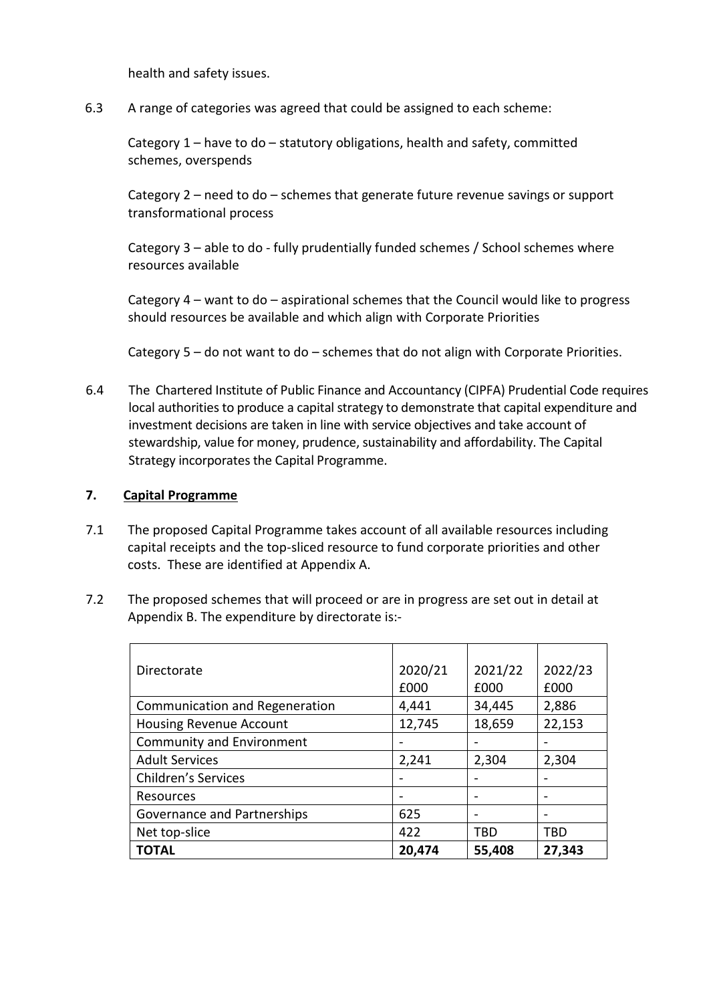health and safety issues.

6.3 A range of categories was agreed that could be assigned to each scheme:

Category 1 – have to do – statutory obligations, health and safety, committed schemes, overspends

Category 2 – need to do – schemes that generate future revenue savings or support transformational process

Category 3 – able to do - fully prudentially funded schemes / School schemes where resources available

Category 4 – want to do – aspirational schemes that the Council would like to progress should resources be available and which align with Corporate Priorities

Category 5 – do not want to do – schemes that do not align with Corporate Priorities.

6.4 The Chartered Institute of Public Finance and Accountancy (CIPFA) Prudential Code requires local authorities to produce a capital strategy to demonstrate that capital expenditure and investment decisions are taken in line with service objectives and take account of stewardship, value for money, prudence, sustainability and affordability. The Capital Strategy incorporates the Capital Programme.

### **7. Capital Programme**

- 7.1 The proposed Capital Programme takes account of all available resources including capital receipts and the top-sliced resource to fund corporate priorities and other costs. These are identified at Appendix A.
- 7.2 The proposed schemes that will proceed or are in progress are set out in detail at Appendix B. The expenditure by directorate is:-

| Directorate                      | 2020/21 | 2021/22 | 2022/23 |
|----------------------------------|---------|---------|---------|
|                                  | £000    | £000    | £000    |
| Communication and Regeneration   | 4,441   | 34,445  | 2,886   |
| <b>Housing Revenue Account</b>   | 12,745  | 18,659  | 22,153  |
| <b>Community and Environment</b> |         |         |         |
| <b>Adult Services</b>            | 2,241   | 2,304   | 2,304   |
| <b>Children's Services</b>       |         |         |         |
| Resources                        |         |         |         |
| Governance and Partnerships      | 625     | -       |         |
| Net top-slice                    | 422     | TBD     | TBD     |
| <b>TOTAL</b>                     | 20,474  | 55,408  | 27,343  |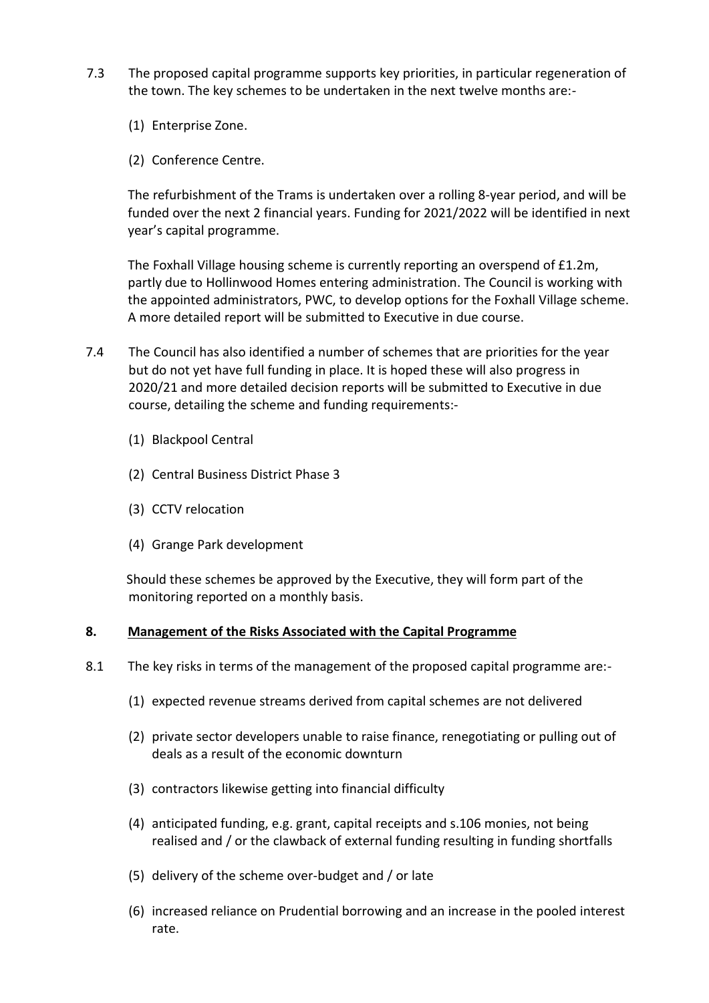- 7.3 The proposed capital programme supports key priorities, in particular regeneration of the town. The key schemes to be undertaken in the next twelve months are:-
	- (1) Enterprise Zone.
	- (2) Conference Centre.

The refurbishment of the Trams is undertaken over a rolling 8-year period, and will be funded over the next 2 financial years. Funding for 2021/2022 will be identified in next year's capital programme.

The Foxhall Village housing scheme is currently reporting an overspend of £1.2m, partly due to Hollinwood Homes entering administration. The Council is working with the appointed administrators, PWC, to develop options for the Foxhall Village scheme. A more detailed report will be submitted to Executive in due course.

- 7.4 The Council has also identified a number of schemes that are priorities for the year but do not yet have full funding in place. It is hoped these will also progress in 2020/21 and more detailed decision reports will be submitted to Executive in due course, detailing the scheme and funding requirements:-
	- (1) Blackpool Central
	- (2) Central Business District Phase 3
	- (3) CCTV relocation
	- (4) Grange Park development

Should these schemes be approved by the Executive, they will form part of the monitoring reported on a monthly basis.

#### **8. Management of the Risks Associated with the Capital Programme**

- 8.1 The key risks in terms of the management of the proposed capital programme are:-
	- (1) expected revenue streams derived from capital schemes are not delivered
	- (2) private sector developers unable to raise finance, renegotiating or pulling out of deals as a result of the economic downturn
	- (3) contractors likewise getting into financial difficulty
	- (4) anticipated funding, e.g. grant, capital receipts and s.106 monies, not being realised and / or the clawback of external funding resulting in funding shortfalls
	- (5) delivery of the scheme over-budget and / or late
	- (6) increased reliance on Prudential borrowing and an increase in the pooled interest rate.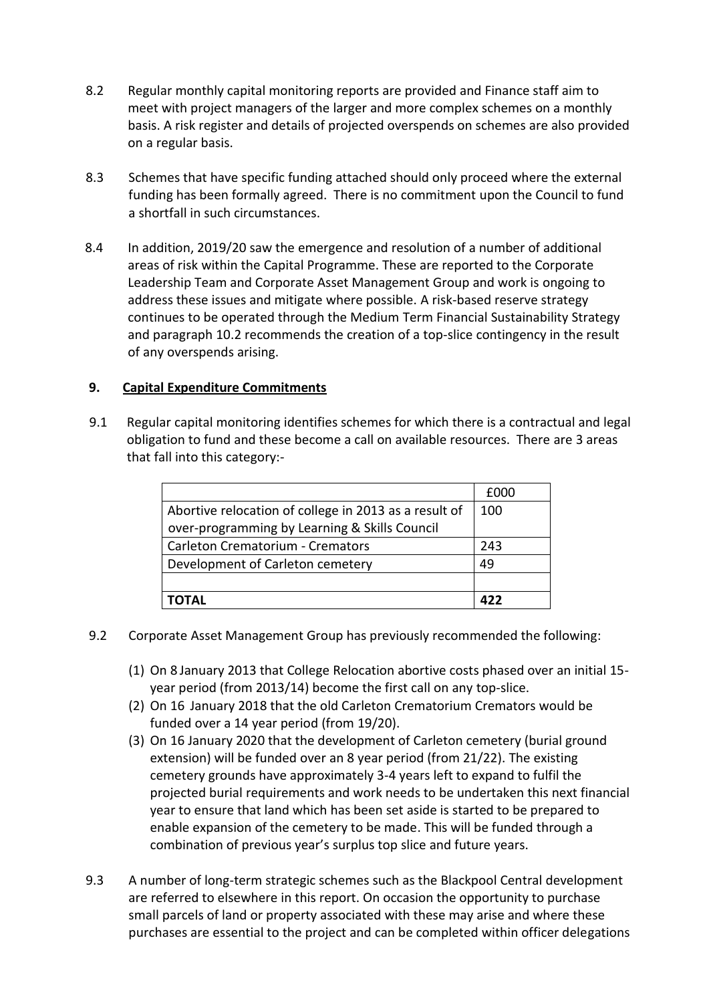- 8.2 Regular monthly capital monitoring reports are provided and Finance staff aim to meet with project managers of the larger and more complex schemes on a monthly basis. A risk register and details of projected overspends on schemes are also provided on a regular basis.
- 8.3 Schemes that have specific funding attached should only proceed where the external funding has been formally agreed. There is no commitment upon the Council to fund a shortfall in such circumstances.
- 8.4 In addition, 2019/20 saw the emergence and resolution of a number of additional areas of risk within the Capital Programme. These are reported to the Corporate Leadership Team and Corporate Asset Management Group and work is ongoing to address these issues and mitigate where possible. A risk-based reserve strategy continues to be operated through the Medium Term Financial Sustainability Strategy and paragraph 10.2 recommends the creation of a top-slice contingency in the result of any overspends arising.

# **9. Capital Expenditure Commitments**

9.1 Regular capital monitoring identifies schemes for which there is a contractual and legal obligation to fund and these become a call on available resources. There are 3 areas that fall into this category:-

|                                                       | £000 |
|-------------------------------------------------------|------|
| Abortive relocation of college in 2013 as a result of | 100  |
| over-programming by Learning & Skills Council         |      |
| <b>Carleton Crematorium - Cremators</b>               | 243  |
| Development of Carleton cemetery                      | 49   |
|                                                       |      |
| ΌΤΑΙ                                                  | 477  |

- 9.2 Corporate Asset Management Group has previously recommended the following:
	- (1) On 8 January 2013 that College Relocation abortive costs phased over an initial 15 year period (from 2013/14) become the first call on any top-slice.
	- (2) On 16 January 2018 that the old Carleton Crematorium Cremators would be funded over a 14 year period (from 19/20).
	- (3) On 16 January 2020 that the development of Carleton cemetery (burial ground extension) will be funded over an 8 year period (from 21/22). The existing cemetery grounds have approximately 3-4 years left to expand to fulfil the projected burial requirements and work needs to be undertaken this next financial year to ensure that land which has been set aside is started to be prepared to enable expansion of the cemetery to be made. This will be funded through a combination of previous year's surplus top slice and future years.
- 9.3 A number of long-term strategic schemes such as the Blackpool Central development are referred to elsewhere in this report. On occasion the opportunity to purchase small parcels of land or property associated with these may arise and where these purchases are essential to the project and can be completed within officer delegations